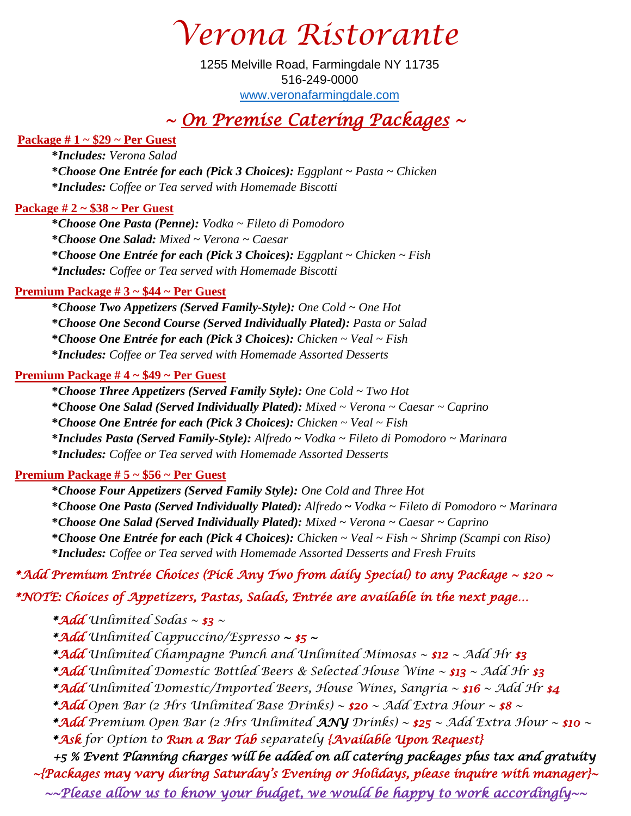*Verona Ristorante*

1255 Melville Road, Farmingdale NY 11735 516-249-0000 [www.veronafarmingdale.com](http://www.veronafarmingdale.com/)

## *~ On Premise Catering Packages ~*

#### **Package # 1 ~ \$29 ~ Per Guest**

**\****Includes: Verona Salad* **\****Choose One Entrée for each (Pick 3 Choices): Eggplant ~ Pasta ~ Chicken* **\****Includes: Coffee or Tea served with Homemade Biscotti*

#### **Package # 2 ~ \$38 ~ Per Guest**

**\****Choose One Pasta (Penne): Vodka ~ Fileto di Pomodoro* **\****Choose One Salad: Mixed ~ Verona ~ Caesar* **\****Choose One Entrée for each (Pick 3 Choices): Eggplant ~ Chicken ~ Fish* **\****Includes: Coffee or Tea served with Homemade Biscotti*

#### **Premium Package # 3 ~ \$44 ~ Per Guest**

 **\****Choose Two Appetizers (Served Family-Style): One Cold ~ One Hot* **\****Choose One Second Course (Served Individually Plated): Pasta or Salad* **\****Choose One Entrée for each (Pick 3 Choices): Chicken ~ Veal ~ Fish* **\****Includes: Coffee or Tea served with Homemade Assorted Desserts*

#### **Premium Package # 4 ~ \$49 ~ Per Guest**

**\****Choose Three Appetizers (Served Family Style): One Cold ~ Two Hot* **\****Choose One Salad (Served Individually Plated): Mixed ~ Verona ~ Caesar ~ Caprino* **\****Choose One Entrée for each (Pick 3 Choices): Chicken ~ Veal ~ Fish* **\****Includes Pasta (Served Family-Style): Alfredo* **~** *Vodka ~ Fileto di Pomodoro ~ Marinara* **\****Includes: Coffee or Tea served with Homemade Assorted Desserts*

#### **Premium Package # 5 ~ \$56 ~ Per Guest**

**\****Choose Four Appetizers (Served Family Style): One Cold and Three Hot* **\****Choose One Pasta (Served Individually Plated): Alfredo* **~** *Vodka ~ Fileto di Pomodoro ~ Marinara* **\****Choose One Salad (Served Individually Plated): Mixed ~ Verona ~ Caesar ~ Caprino* **\****Choose One Entrée for each (Pick 4 Choices): Chicken ~ Veal ~ Fish ~ Shrimp (Scampi con Riso)* **\****Includes: Coffee or Tea served with Homemade Assorted Desserts and Fresh Fruits*

#### *\*Add Premium Entrée Choices (Pick Any Two from daily Special) to any Package ~ \$20 ~*

### *\*NOTE: Choices of Appetizers, Pastas, Salads, Entrée are available in the next page...*

*\*Add Unlimited Sodas ~ \$3 ~* 

*\*Add Unlimited Cappuccino/Espresso ~ \$5 ~* 

*\*Add Unlimited Champagne Punch and Unlimited Mimosas ~ \$12 ~ Add Hr \$3* 

*\*Add Unlimited Domestic Bottled Beers & Selected House Wine ~ \$13 ~ Add Hr \$3* 

*\*Add Unlimited Domestic/Imported Beers, House Wines, Sangria ~ \$16 ~ Add Hr \$4* 

*\*Add Open Bar (2 Hrs Unlimited Base Drinks) ~ \$20 ~ Add Extra Hour ~ \$8 ~* 

*\*Add Premium Open Bar (2 Hrs Unlimited ANY Drinks) ~ \$25 ~ Add Extra Hour ~ \$10 ~ \*Ask for Option to Run a Bar Tab separately {Available Upon Request}* 

 *+5 % Event Planning charges will be added on all catering packages plus tax and gratuity ~{Packages may vary during Saturday's Evening or Holidays, please inquire with manager}~ ~~Please allow us to know your budget, we would be happy to work accordingly~~*